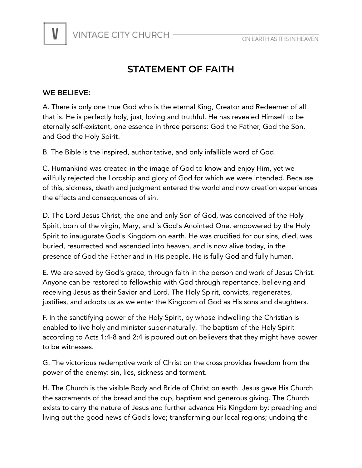

## **STATEMENT OF FAITH**

## **WE BELIEVE:**

A. There is only one true God who is the eternal King, Creator and Redeemer of all that is. He is perfectly holy, just, loving and truthful. He has revealed Himself to be eternally self-existent, one essence in three persons: God the Father, God the Son, and God the Holy Spirit.

B. The Bible is the inspired, authoritative, and only infallible word of God.

C. Humankind was created in the image of God to know and enjoy Him, yet we willfully rejected the Lordship and glory of God for which we were intended. Because of this, sickness, death and judgment entered the world and now creation experiences the effects and consequences of sin.

D. The Lord Jesus Christ, the one and only Son of God, was conceived of the Holy Spirit, born of the virgin, Mary, and is God's Anointed One, empowered by the Holy Spirit to inaugurate God's Kingdom on earth. He was crucified for our sins, died, was buried, resurrected and ascended into heaven, and is now alive today, in the presence of God the Father and in His people. He is fully God and fully human.

E. We are saved by God's grace, through faith in the person and work of Jesus Christ. Anyone can be restored to fellowship with God through repentance, believing and receiving Jesus as their Savior and Lord. The Holy Spirit, convicts, regenerates, justifies, and adopts us as we enter the Kingdom of God as His sons and daughters.

F. In the sanctifying power of the Holy Spirit, by whose indwelling the Christian is enabled to live holy and minister super-naturally. The baptism of the Holy Spirit according to Acts 1:4-8 and 2:4 is poured out on believers that they might have power to be witnesses.

G. The victorious redemptive work of Christ on the cross provides freedom from the power of the enemy: sin, lies, sickness and torment.

H. The Church is the visible Body and Bride of Christ on earth. Jesus gave His Church the sacraments of the bread and the cup, baptism and generous giving. The Church exists to carry the nature of Jesus and further advance His Kingdom by: preaching and living out the good news of God's love; transforming our local regions; undoing the